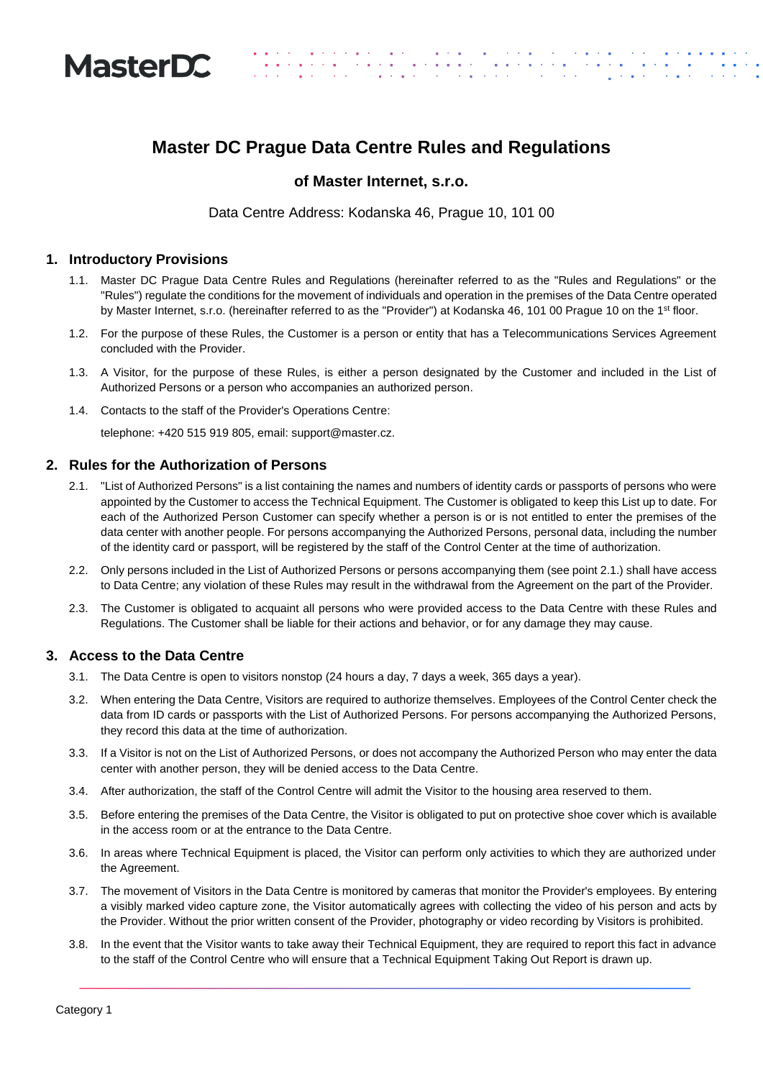

# **Master DC Prague Data Centre Rules and Regulations**

## **of Master Internet, s.r.o.**

Data Centre Address: Kodanska 46, Prague 10, 101 00

#### **1. Introductory Provisions**

- 1.1. Master DC Prague Data Centre Rules and Regulations (hereinafter referred to as the "Rules and Regulations" or the "Rules") regulate the conditions for the movement of individuals and operation in the premises of the Data Centre operated by Master Internet, s.r.o. (hereinafter referred to as the "Provider") at Kodanska 46, 101 00 Prague 10 on the 1<sup>st</sup> floor.
- 1.2. For the purpose of these Rules, the Customer is a person or entity that has a Telecommunications Services Agreement concluded with the Provider.
- 1.3. A Visitor, for the purpose of these Rules, is either a person designated by the Customer and included in the List of Authorized Persons or a person who accompanies an authorized person.
- 1.4. Contacts to the staff of the Provider's Operations Centre:

telephone: +420 515 919 805, email: support@master.cz.

#### **2. Rules for the Authorization of Persons**

- 2.1. "List of Authorized Persons" is a list containing the names and numbers of identity cards or passports of persons who were appointed by the Customer to access the Technical Equipment. The Customer is obligated to keep this List up to date. For each of the Authorized Person Customer can specify whether a person is or is not entitled to enter the premises of the data center with another people. For persons accompanying the Authorized Persons, personal data, including the number of the identity card or passport, will be registered by the staff of the Control Center at the time of authorization.
- 2.2. Only persons included in the List of Authorized Persons or persons accompanying them (see point 2.1.) shall have access to Data Centre; any violation of these Rules may result in the withdrawal from the Agreement on the part of the Provider.
- 2.3. The Customer is obligated to acquaint all persons who were provided access to the Data Centre with these Rules and Regulations. The Customer shall be liable for their actions and behavior, or for any damage they may cause.

#### **3. Access to the Data Centre**

- 3.1. The Data Centre is open to visitors nonstop (24 hours a day, 7 days a week, 365 days a year).
- 3.2. When entering the Data Centre, Visitors are required to authorize themselves. Employees of the Control Center check the data from ID cards or passports with the List of Authorized Persons. For persons accompanying the Authorized Persons, they record this data at the time of authorization.
- 3.3. If a Visitor is not on the List of Authorized Persons, or does not accompany the Authorized Person who may enter the data center with another person, they will be denied access to the Data Centre.
- 3.4. After authorization, the staff of the Control Centre will admit the Visitor to the housing area reserved to them.
- 3.5. Before entering the premises of the Data Centre, the Visitor is obligated to put on protective shoe cover which is available in the access room or at the entrance to the Data Centre.
- 3.6. In areas where Technical Equipment is placed, the Visitor can perform only activities to which they are authorized under the Agreement.
- 3.7. The movement of Visitors in the Data Centre is monitored by cameras that monitor the Provider's employees. By entering a visibly marked video capture zone, the Visitor automatically agrees with collecting the video of his person and acts by the Provider. Without the prior written consent of the Provider, photography or video recording by Visitors is prohibited.
- 3.8. In the event that the Visitor wants to take away their Technical Equipment, they are required to report this fact in advance to the staff of the Control Centre who will ensure that a Technical Equipment Taking Out Report is drawn up.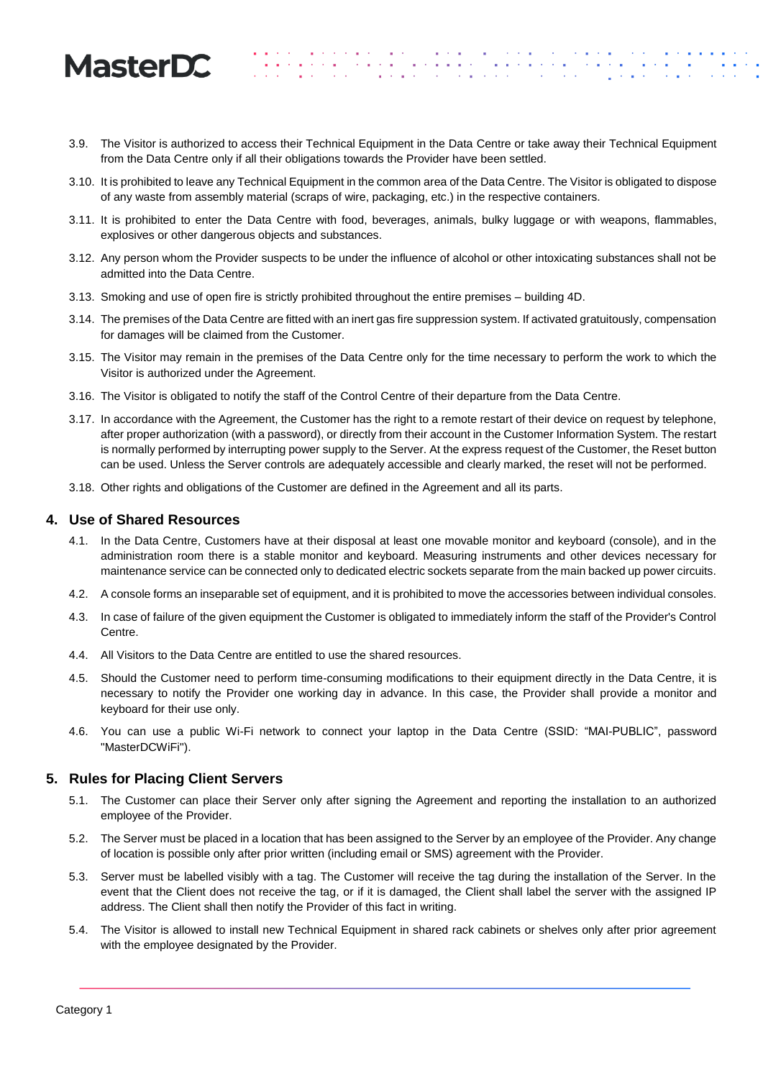# **MasterDC**

- 3.9. The Visitor is authorized to access their Technical Equipment in the Data Centre or take away their Technical Equipment from the Data Centre only if all their obligations towards the Provider have been settled.
- 3.10. It is prohibited to leave any Technical Equipment in the common area of the Data Centre. The Visitor is obligated to dispose of any waste from assembly material (scraps of wire, packaging, etc.) in the respective containers.
- 3.11. It is prohibited to enter the Data Centre with food, beverages, animals, bulky luggage or with weapons, flammables, explosives or other dangerous objects and substances.
- 3.12. Any person whom the Provider suspects to be under the influence of alcohol or other intoxicating substances shall not be admitted into the Data Centre.
- 3.13. Smoking and use of open fire is strictly prohibited throughout the entire premises building 4D.
- 3.14. The premises of the Data Centre are fitted with an inert gas fire suppression system. If activated gratuitously, compensation for damages will be claimed from the Customer.
- 3.15. The Visitor may remain in the premises of the Data Centre only for the time necessary to perform the work to which the Visitor is authorized under the Agreement.
- 3.16. The Visitor is obligated to notify the staff of the Control Centre of their departure from the Data Centre.
- 3.17. In accordance with the Agreement, the Customer has the right to a remote restart of their device on request by telephone, after proper authorization (with a password), or directly from their account in the Customer Information System. The restart is normally performed by interrupting power supply to the Server. At the express request of the Customer, the Reset button can be used. Unless the Server controls are adequately accessible and clearly marked, the reset will not be performed.
- 3.18. Other rights and obligations of the Customer are defined in the Agreement and all its parts.

### **4. Use of Shared Resources**

- 4.1. In the Data Centre, Customers have at their disposal at least one movable monitor and keyboard (console), and in the administration room there is a stable monitor and keyboard. Measuring instruments and other devices necessary for maintenance service can be connected only to dedicated electric sockets separate from the main backed up power circuits.
- 4.2. A console forms an inseparable set of equipment, and it is prohibited to move the accessories between individual consoles.
- 4.3. In case of failure of the given equipment the Customer is obligated to immediately inform the staff of the Provider's Control Centre.
- 4.4. All Visitors to the Data Centre are entitled to use the shared resources.
- 4.5. Should the Customer need to perform time-consuming modifications to their equipment directly in the Data Centre, it is necessary to notify the Provider one working day in advance. In this case, the Provider shall provide a monitor and keyboard for their use only.
- 4.6. You can use a public Wi-Fi network to connect your laptop in the Data Centre (SSID: "MAI-PUBLIC", password "MasterDCWiFi").

#### **5. Rules for Placing Client Servers**

- 5.1. The Customer can place their Server only after signing the Agreement and reporting the installation to an authorized employee of the Provider.
- 5.2. The Server must be placed in a location that has been assigned to the Server by an employee of the Provider. Any change of location is possible only after prior written (including email or SMS) agreement with the Provider.
- 5.3. Server must be labelled visibly with a tag. The Customer will receive the tag during the installation of the Server. In the event that the Client does not receive the tag, or if it is damaged, the Client shall label the server with the assigned IP address. The Client shall then notify the Provider of this fact in writing.
- 5.4. The Visitor is allowed to install new Technical Equipment in shared rack cabinets or shelves only after prior agreement with the employee designated by the Provider.